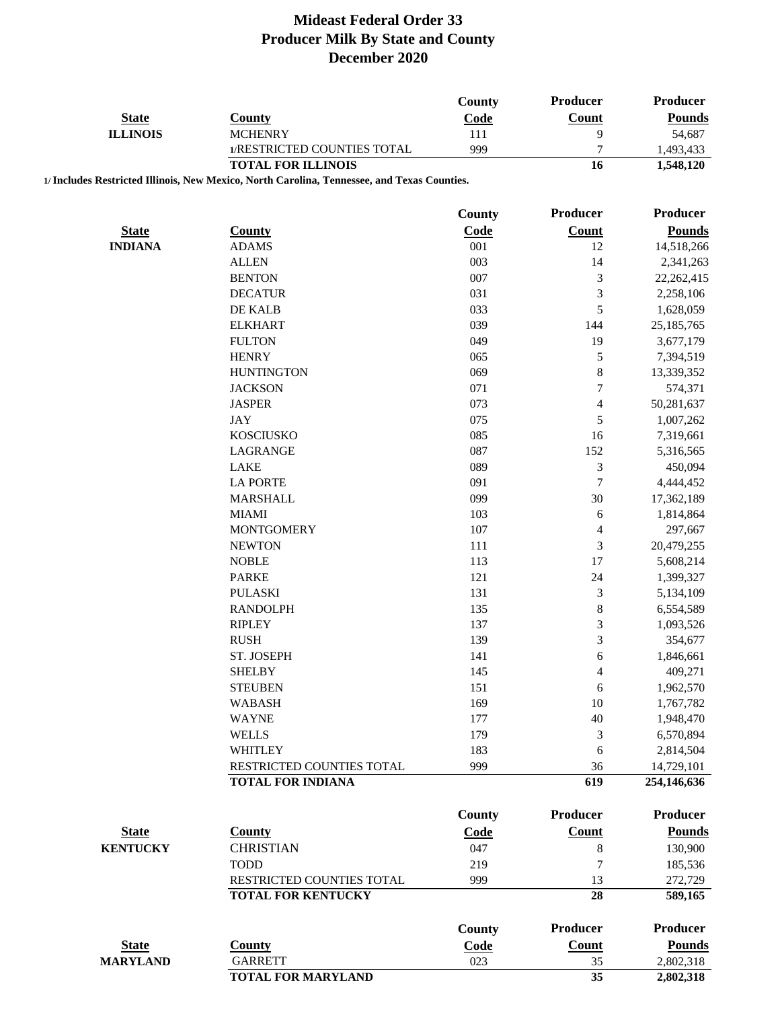| <b>State</b><br><b>County</b><br><b>ILLINOIS</b><br><b>MCHENRY</b><br>1/RESTRICTED COUNTIES TOTAL | Code<br>111<br>999 | Count<br>9       | <b>Pounds</b>             |
|---------------------------------------------------------------------------------------------------|--------------------|------------------|---------------------------|
|                                                                                                   |                    |                  | 54,687                    |
|                                                                                                   |                    | $\tau$           | 1,493,433                 |
| <b>TOTAL FOR ILLINOIS</b>                                                                         |                    | 16               | 1,548,120                 |
| 1/ Includes Restricted Illinois, New Mexico, North Carolina, Tennessee, and Texas Counties.       |                    |                  |                           |
|                                                                                                   |                    |                  |                           |
|                                                                                                   | <b>County</b>      | <b>Producer</b>  | <b>Producer</b>           |
| <b>State</b><br><b>County</b>                                                                     | Code               | Count            | <b>Pounds</b>             |
| <b>INDIANA</b><br><b>ADAMS</b>                                                                    | 001                | 12               | 14,518,266                |
| <b>ALLEN</b>                                                                                      | 003                | 14               | 2,341,263                 |
| <b>BENTON</b>                                                                                     | 007                | $\mathfrak{Z}$   | 22, 262, 415              |
| <b>DECATUR</b>                                                                                    | 031                | $\sqrt{3}$       | 2,258,106                 |
| DE KALB                                                                                           | 033                | 5                | 1,628,059                 |
| <b>ELKHART</b>                                                                                    | 039                | 144              | 25, 185, 765              |
| <b>FULTON</b>                                                                                     | 049                | 19               | 3,677,179                 |
| <b>HENRY</b>                                                                                      | 065                | $\sqrt{5}$       | 7,394,519                 |
| <b>HUNTINGTON</b>                                                                                 | 069                | $\,8\,$          | 13,339,352                |
| <b>JACKSON</b>                                                                                    | 071                | $\tau$           | 574,371                   |
| <b>JASPER</b>                                                                                     | 073                | $\overline{4}$   | 50,281,637                |
| JAY                                                                                               | 075                | $\sqrt{5}$       | 1,007,262                 |
| <b>KOSCIUSKO</b>                                                                                  | 085                | 16               | 7,319,661                 |
| <b>LAGRANGE</b>                                                                                   | 087                | 152              | 5,316,565                 |
| <b>LAKE</b>                                                                                       | 089                | 3                | 450,094                   |
| <b>LA PORTE</b>                                                                                   | 091                | $\boldsymbol{7}$ | 4,444,452                 |
| <b>MARSHALL</b>                                                                                   | 099                | 30               | 17,362,189                |
| <b>MIAMI</b>                                                                                      | 103                | $\sqrt{6}$       | 1,814,864                 |
| <b>MONTGOMERY</b>                                                                                 | 107                | $\overline{4}$   | 297,667                   |
| <b>NEWTON</b>                                                                                     | 111                | $\mathfrak 3$    | 20,479,255                |
| <b>NOBLE</b>                                                                                      | 113                | 17               | 5,608,214                 |
| <b>PARKE</b>                                                                                      | 121                | 24               | 1,399,327                 |
| <b>PULASKI</b>                                                                                    | 131                | $\mathfrak{Z}$   | 5,134,109                 |
| <b>RANDOLPH</b>                                                                                   | 135                | $\,8\,$          | 6,554,589                 |
| <b>RIPLEY</b>                                                                                     | 137                | $\mathfrak{Z}$   | 1,093,526                 |
| <b>RUSH</b>                                                                                       | 139                | 3                | 354,677                   |
| ST. JOSEPH                                                                                        | 141                | 6                | 1,846,661                 |
| <b>SHELBY</b>                                                                                     | 145                | 4                | 409,271                   |
| <b>STEUBEN</b>                                                                                    | 151                | 6                | 1,962,570                 |
| <b>WABASH</b>                                                                                     | 169                | 10               | 1,767,782                 |
| <b>WAYNE</b>                                                                                      | 177                | 40               | 1,948,470                 |
| <b>WELLS</b>                                                                                      | 179                |                  | 6,570,894                 |
| <b>WHITLEY</b>                                                                                    | 183                | 3                |                           |
|                                                                                                   |                    | 6                | 2,814,504                 |
| RESTRICTED COUNTIES TOTAL<br><b>TOTAL FOR INDIANA</b>                                             | 999                | 36<br>619        | 14,729,101<br>254,146,636 |
|                                                                                                   |                    |                  |                           |
|                                                                                                   | <b>County</b>      | <b>Producer</b>  | <b>Producer</b>           |
| <b>State</b><br><b>County</b>                                                                     | Code               | <b>Count</b>     | <b>Pounds</b>             |
| <b>KENTUCKY</b><br><b>CHRISTIAN</b>                                                               | 047                | $\,8\,$          | 130,900                   |
| <b>TODD</b>                                                                                       | 219                | 7                | 185,536                   |
| RESTRICTED COUNTIES TOTAL                                                                         | 999                | 13               | 272,729                   |
| <b>TOTAL FOR KENTUCKY</b>                                                                         |                    | 28               | 589,165                   |
|                                                                                                   |                    |                  |                           |
|                                                                                                   | <b>County</b>      | <b>Producer</b>  | <b>Producer</b>           |
| <b>State</b><br><b>County</b>                                                                     | Code               | Count            | <b>Pounds</b>             |
| <b>GARRETT</b><br><b>MARYLAND</b>                                                                 | 023                | 35               | 2,802,318                 |
| <b>TOTAL FOR MARYLAND</b>                                                                         |                    | 35               | 2,802,318                 |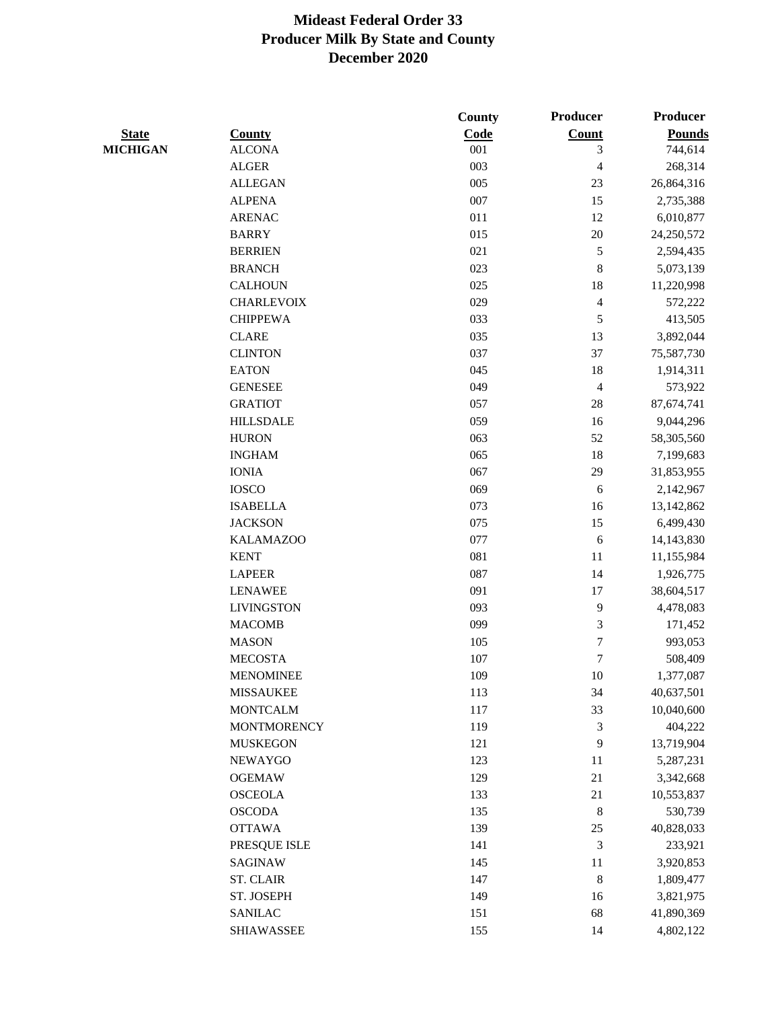|                 |                    | <b>County</b> | Producer                | <b>Producer</b> |
|-----------------|--------------------|---------------|-------------------------|-----------------|
| <b>State</b>    | <b>County</b>      | Code          | Count                   | <b>Pounds</b>   |
| <b>MICHIGAN</b> | <b>ALCONA</b>      | 001           | 3                       | 744,614         |
|                 | <b>ALGER</b>       | 003           | $\overline{\mathbf{4}}$ | 268,314         |
|                 | <b>ALLEGAN</b>     | 005           | 23                      | 26,864,316      |
|                 | <b>ALPENA</b>      | 007           | 15                      | 2,735,388       |
|                 | <b>ARENAC</b>      | 011           | 12                      | 6,010,877       |
|                 | <b>BARRY</b>       | 015           | $20\,$                  | 24,250,572      |
|                 | <b>BERRIEN</b>     | 021           | 5                       | 2,594,435       |
|                 | <b>BRANCH</b>      | 023           | $\,$ $\,$               | 5,073,139       |
|                 | <b>CALHOUN</b>     | 025           | 18                      | 11,220,998      |
|                 | <b>CHARLEVOIX</b>  | 029           | $\overline{4}$          | 572,222         |
|                 | <b>CHIPPEWA</b>    | 033           | 5                       | 413,505         |
|                 | <b>CLARE</b>       | 035           | 13                      | 3,892,044       |
|                 | <b>CLINTON</b>     | 037           | 37                      | 75,587,730      |
|                 | <b>EATON</b>       | 045           | 18                      | 1,914,311       |
|                 | <b>GENESEE</b>     | 049           | $\overline{4}$          | 573,922         |
|                 | <b>GRATIOT</b>     | 057           | $28\,$                  | 87,674,741      |
|                 | <b>HILLSDALE</b>   | 059           | 16                      | 9,044,296       |
|                 | <b>HURON</b>       | 063           | 52                      | 58,305,560      |
|                 | <b>INGHAM</b>      | 065           | 18                      | 7,199,683       |
|                 | <b>IONIA</b>       | 067           | 29                      | 31,853,955      |
|                 | <b>IOSCO</b>       | 069           | $\sqrt{6}$              | 2,142,967       |
|                 | <b>ISABELLA</b>    | 073           | 16                      | 13, 142, 862    |
|                 | <b>JACKSON</b>     | 075           | 15                      | 6,499,430       |
|                 | <b>KALAMAZOO</b>   | 077           | $\sqrt{6}$              | 14,143,830      |
|                 | <b>KENT</b>        | 081           | 11                      | 11,155,984      |
|                 | <b>LAPEER</b>      | 087           | 14                      | 1,926,775       |
|                 | <b>LENAWEE</b>     | 091           | 17                      | 38,604,517      |
|                 | <b>LIVINGSTON</b>  | 093           | $\mathbf{9}$            | 4,478,083       |
|                 | <b>MACOMB</b>      | 099           | 3                       | 171,452         |
|                 | <b>MASON</b>       | 105           | 7                       | 993,053         |
|                 | <b>MECOSTA</b>     | 107           | $\tau$                  | 508,409         |
|                 | <b>MENOMINEE</b>   | 109           | 10                      | 1,377,087       |
|                 | <b>MISSAUKEE</b>   | 113           | 34                      | 40,637,501      |
|                 | <b>MONTCALM</b>    | 117           | 33                      | 10,040,600      |
|                 | <b>MONTMORENCY</b> | 119           | 3                       | 404,222         |
|                 | <b>MUSKEGON</b>    | 121           | 9                       | 13,719,904      |
|                 | <b>NEWAYGO</b>     | 123           | 11                      | 5,287,231       |
|                 | <b>OGEMAW</b>      | 129           | 21                      | 3,342,668       |
|                 | <b>OSCEOLA</b>     | 133           | $21\,$                  | 10,553,837      |
|                 | <b>OSCODA</b>      | 135           | $\,8\,$                 | 530,739         |
|                 | <b>OTTAWA</b>      | 139           | $25\,$                  | 40,828,033      |
|                 | PRESQUE ISLE       | 141           | $\mathfrak{Z}$          | 233,921         |
|                 | SAGINAW            | 145           | 11                      | 3,920,853       |
|                 | <b>ST. CLAIR</b>   | 147           | $\,8\,$                 | 1,809,477       |
|                 | ST. JOSEPH         | 149           | 16                      | 3,821,975       |
|                 | <b>SANILAC</b>     | 151           | 68                      | 41,890,369      |
|                 | <b>SHIAWASSEE</b>  | 155           | 14                      | 4,802,122       |
|                 |                    |               |                         |                 |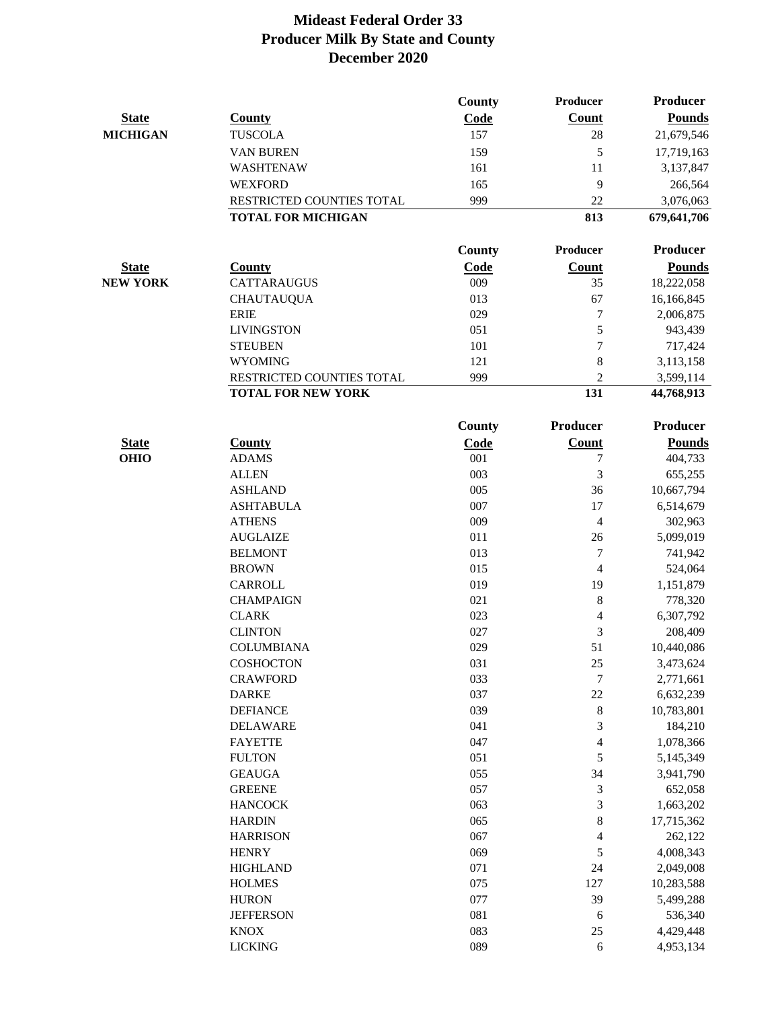|                 |                           | County | Producer                 | <b>Producer</b> |
|-----------------|---------------------------|--------|--------------------------|-----------------|
| <b>State</b>    | <b>County</b>             | Code   | <b>Count</b>             | <b>Pounds</b>   |
| <b>MICHIGAN</b> | <b>TUSCOLA</b>            | 157    | $28\,$                   | 21,679,546      |
|                 | <b>VAN BUREN</b>          | 159    | 5                        | 17,719,163      |
|                 | WASHTENAW                 | 161    | 11                       | 3,137,847       |
|                 | <b>WEXFORD</b>            | 165    | 9                        | 266,564         |
|                 | RESTRICTED COUNTIES TOTAL | 999    | 22                       | 3,076,063       |
|                 | <b>TOTAL FOR MICHIGAN</b> |        | 813                      | 679,641,706     |
|                 |                           | County | Producer                 | Producer        |
| <b>State</b>    | <b>County</b>             | Code   | <b>Count</b>             | <b>Pounds</b>   |
| <b>NEW YORK</b> | <b>CATTARAUGUS</b>        | 009    | 35                       | 18,222,058      |
|                 | <b>CHAUTAUQUA</b>         | 013    | 67                       | 16,166,845      |
|                 | <b>ERIE</b>               | 029    | 7                        | 2,006,875       |
|                 | <b>LIVINGSTON</b>         | 051    | 5                        | 943,439         |
|                 | <b>STEUBEN</b>            | 101    | 7                        | 717,424         |
|                 | <b>WYOMING</b>            | 121    | $\,$ 8 $\,$              | 3,113,158       |
|                 | RESTRICTED COUNTIES TOTAL | 999    | $\overline{2}$           | 3,599,114       |
|                 | <b>TOTAL FOR NEW YORK</b> |        | 131                      | 44,768,913      |
|                 |                           | County | Producer                 | Producer        |
| <b>State</b>    | <b>County</b>             | Code   | <b>Count</b>             | <b>Pounds</b>   |
| <b>OHIO</b>     | <b>ADAMS</b>              | 001    | 7                        | 404,733         |
|                 | <b>ALLEN</b>              | 003    | 3                        | 655,255         |
|                 | <b>ASHLAND</b>            | 005    | 36                       | 10,667,794      |
|                 | <b>ASHTABULA</b>          | 007    | 17                       | 6,514,679       |
|                 | <b>ATHENS</b>             | 009    | $\overline{4}$           | 302,963         |
|                 | <b>AUGLAIZE</b>           | 011    | 26                       | 5,099,019       |
|                 | <b>BELMONT</b>            | 013    | $\boldsymbol{7}$         | 741,942         |
|                 | <b>BROWN</b>              | 015    | $\overline{\mathcal{L}}$ | 524,064         |
|                 | <b>CARROLL</b>            | 019    | 19                       | 1,151,879       |
|                 | <b>CHAMPAIGN</b>          | 021    | $\,8\,$                  | 778,320         |
|                 | <b>CLARK</b>              | 023    | $\overline{\mathbf{4}}$  | 6,307,792       |
|                 | <b>CLINTON</b>            | 027    | 3                        | 208,409         |
|                 | <b>COLUMBIANA</b>         | 029    | 51                       | 10,440,086      |
|                 | <b>COSHOCTON</b>          | 031    | 25                       | 3,473,624       |
|                 | <b>CRAWFORD</b>           | 033    | 7                        | 2,771,661       |
|                 | <b>DARKE</b>              | 037    | $22\,$                   | 6,632,239       |
|                 | <b>DEFIANCE</b>           | 039    | $\,8\,$                  | 10,783,801      |
|                 | <b>DELAWARE</b>           | 041    | $\mathfrak{Z}$           | 184,210         |
|                 | <b>FAYETTE</b>            | 047    | 4                        | 1,078,366       |
|                 | <b>FULTON</b>             | 051    | 5                        | 5,145,349       |
|                 | <b>GEAUGA</b>             | 055    | 34                       | 3,941,790       |
|                 | <b>GREENE</b>             | 057    | 3                        | 652,058         |
|                 | <b>HANCOCK</b>            | 063    | 3                        | 1,663,202       |
|                 | <b>HARDIN</b>             | 065    | $\,8\,$                  | 17,715,362      |
|                 | <b>HARRISON</b>           | 067    | $\overline{\mathbf{4}}$  | 262,122         |
|                 | <b>HENRY</b>              | 069    | $\sqrt{5}$               | 4,008,343       |
|                 | <b>HIGHLAND</b>           | 071    | $24\,$                   | 2,049,008       |
|                 | <b>HOLMES</b>             | 075    | 127                      | 10,283,588      |
|                 | <b>HURON</b>              | 077    | 39                       | 5,499,288       |
|                 | <b>JEFFERSON</b>          | 081    | $\sqrt{6}$               | 536,340         |
|                 | <b>KNOX</b>               | 083    | 25                       | 4,429,448       |
|                 | <b>LICKING</b>            | 089    | $\sqrt{6}$               | 4,953,134       |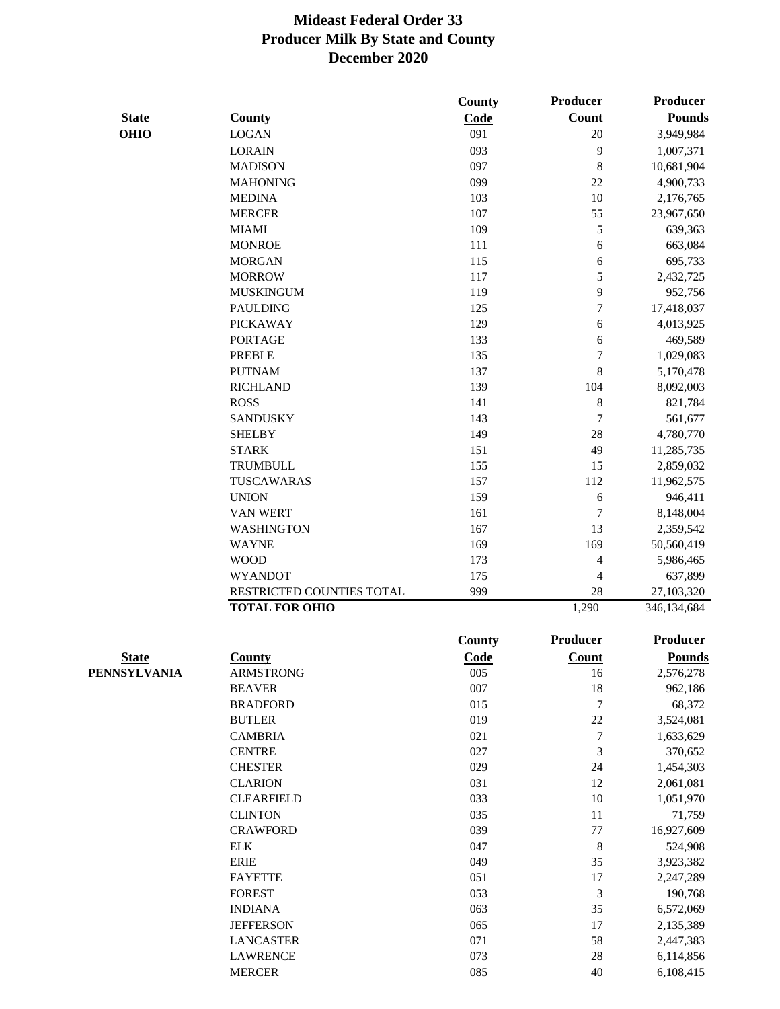|              |                           | County        | Producer         | Producer        |
|--------------|---------------------------|---------------|------------------|-----------------|
| <b>State</b> | <b>County</b>             | Code          | <b>Count</b>     | <b>Pounds</b>   |
| <b>OHIO</b>  | <b>LOGAN</b>              | 091           | 20               | 3,949,984       |
|              | <b>LORAIN</b>             | 093           | 9                | 1,007,371       |
|              | <b>MADISON</b>            | 097           | 8                | 10,681,904      |
|              | <b>MAHONING</b>           | 099           | 22               | 4,900,733       |
|              | <b>MEDINA</b>             | 103           | $10\,$           | 2,176,765       |
|              | <b>MERCER</b>             | 107           | 55               | 23,967,650      |
|              | <b>MIAMI</b>              | 109           | 5                | 639,363         |
|              | <b>MONROE</b>             | 111           | 6                | 663,084         |
|              | <b>MORGAN</b>             | 115           | 6                | 695,733         |
|              | <b>MORROW</b>             | 117           | 5                | 2,432,725       |
|              | <b>MUSKINGUM</b>          | 119           | 9                | 952,756         |
|              | <b>PAULDING</b>           | 125           | $\overline{7}$   | 17,418,037      |
|              | <b>PICKAWAY</b>           | 129           | 6                | 4,013,925       |
|              | <b>PORTAGE</b>            | 133           | 6                | 469,589         |
|              | <b>PREBLE</b>             | 135           | 7                | 1,029,083       |
|              | <b>PUTNAM</b>             | 137           | 8                | 5,170,478       |
|              | <b>RICHLAND</b>           | 139           | 104              | 8,092,003       |
|              | <b>ROSS</b>               | 141           | $\,$ 8 $\,$      | 821,784         |
|              | <b>SANDUSKY</b>           | 143           | $\overline{7}$   | 561,677         |
|              | <b>SHELBY</b>             | 149           | 28               | 4,780,770       |
|              | <b>STARK</b>              | 151           | 49               | 11,285,735      |
|              | <b>TRUMBULL</b>           | 155           | 15               | 2,859,032       |
|              | TUSCAWARAS                | 157           | 112              | 11,962,575      |
|              | <b>UNION</b>              | 159           | 6                | 946,411         |
|              | <b>VAN WERT</b>           | 161           | 7                | 8,148,004       |
|              | <b>WASHINGTON</b>         | 167           | 13               | 2,359,542       |
|              | <b>WAYNE</b>              | 169           | 169              | 50,560,419      |
|              | <b>WOOD</b>               | 173           | 4                | 5,986,465       |
|              | <b>WYANDOT</b>            | 175           | 4                | 637,899         |
|              | RESTRICTED COUNTIES TOTAL | 999           | 28               | 27,103,320      |
|              | <b>TOTAL FOR OHIO</b>     |               | 1,290            | 346,134,684     |
|              |                           | <b>County</b> | <b>Producer</b>  | <b>Producer</b> |
| <b>State</b> | County                    | Code          | Count            | <b>Pounds</b>   |
| PENNSYLVANIA | ARMSTRONG                 | 005           | 16               | 2,576,278       |
|              | <b>BEAVER</b>             | 007           | 18               | 962,186         |
|              | <b>BRADFORD</b>           | 015           | $\boldsymbol{7}$ | 68,372          |
|              | <b>BUTLER</b>             | 019           | 22               | 3,524,081       |
|              | <b>CAMBRIA</b>            | 021           | 7                | 1,633,629       |
|              | <b>CENTRE</b>             | 027           | 3                | 370,652         |
|              | <b>CHESTER</b>            | 029           | 24               | 1,454,303       |
|              | <b>CLARION</b>            | 031           | 12               | 2,061,081       |
|              | <b>CLEARFIELD</b>         | 033           | 10               | 1,051,970       |
|              | <b>CLINTON</b>            | 035           | 11               | 71,759          |
|              | <b>CRAWFORD</b>           | 039           | $77 \,$          | 16,927,609      |
|              | <b>ELK</b>                | 047           | 8                | 524,908         |
|              | <b>ERIE</b>               | 049           | 35               | 3,923,382       |
|              | <b>FAYETTE</b>            | 051           | 17               | 2,247,289       |
|              | <b>FOREST</b>             | 053           | $\sqrt{3}$       | 190,768         |
|              | <b>INDIANA</b>            | 063           | 35               | 6,572,069       |
|              | <b>JEFFERSON</b>          | 065           | 17               | 2,135,389       |
|              | <b>LANCASTER</b>          | 071           | 58               | 2,447,383       |
|              | <b>LAWRENCE</b>           | 073           | 28               | 6,114,856       |
|              | <b>MERCER</b>             | 085           | 40               | 6,108,415       |